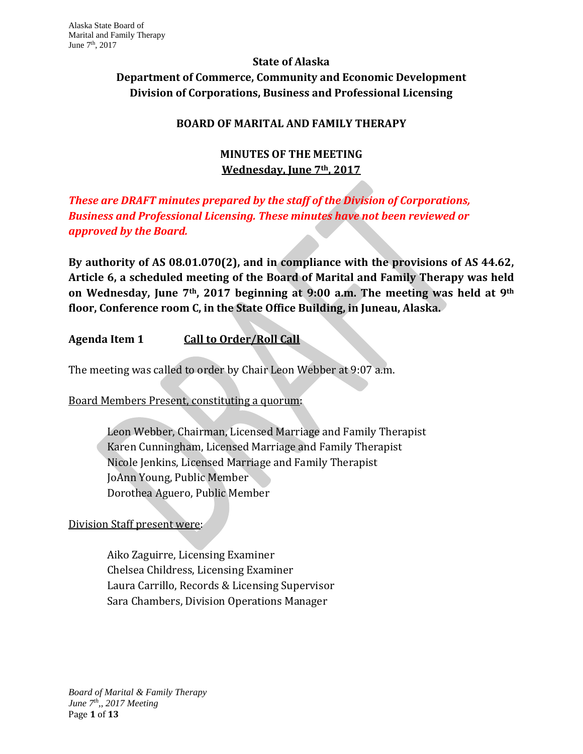# **State of Alaska Department of Commerce, Community and Economic Development Division of Corporations, Business and Professional Licensing**

# **BOARD OF MARITAL AND FAMILY THERAPY**

# **MINUTES OF THE MEETING Wednesday, June 7th, 2017**

# *These are DRAFT minutes prepared by the staff of the Division of Corporations, Business and Professional Licensing. These minutes have not been reviewed or approved by the Board.*

**By authority of AS 08.01.070(2), and in compliance with the provisions of AS 44.62, Article 6, a scheduled meeting of the Board of Marital and Family Therapy was held on Wednesday, June 7th, 2017 beginning at 9:00 a.m. The meeting was held at 9th floor, Conference room C, in the State Office Building, in Juneau, Alaska.**

# **Agenda Item 1 Call to Order/Roll Call**

The meeting was called to order by Chair Leon Webber at 9:07 a.m.

Board Members Present, constituting a quorum:

Leon Webber, Chairman, Licensed Marriage and Family Therapist Karen Cunningham, Licensed Marriage and Family Therapist Nicole Jenkins, Licensed Marriage and Family Therapist JoAnn Young, Public Member Dorothea Aguero, Public Member

## Division Staff present were:

Aiko Zaguirre, Licensing Examiner Chelsea Childress, Licensing Examiner Laura Carrillo, Records & Licensing Supervisor Sara Chambers, Division Operations Manager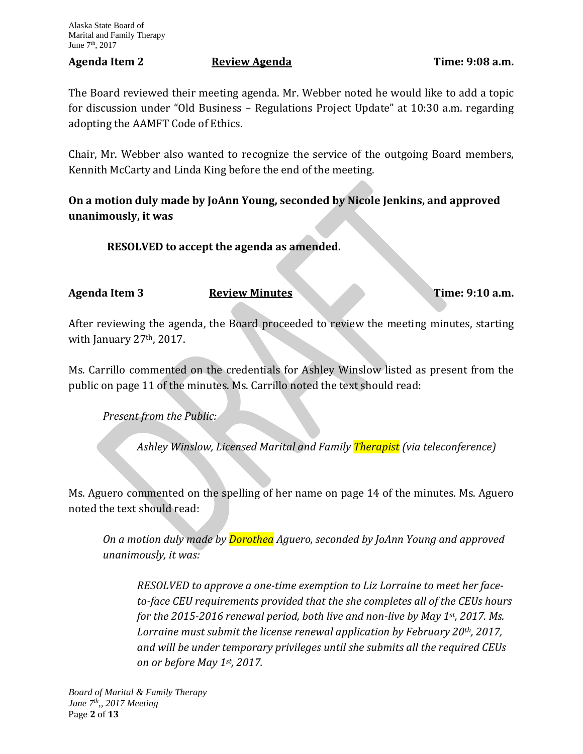#### Agenda Item 2 **Review Agenda Property Example 2 EXECUTE:** 9:08 a.m.

The Board reviewed their meeting agenda. Mr. Webber noted he would like to add a topic for discussion under "Old Business – Regulations Project Update" at 10:30 a.m. regarding adopting the AAMFT Code of Ethics.

Chair, Mr. Webber also wanted to recognize the service of the outgoing Board members, Kennith McCarty and Linda King before the end of the meeting.

**On a motion duly made by JoAnn Young, seconded by Nicole Jenkins, and approved unanimously, it was**

**RESOLVED to accept the agenda as amended.**

**Agenda Item 3 Review Minutes Time: 9:10 a.m.**

After reviewing the agenda, the Board proceeded to review the meeting minutes, starting with January 27<sup>th</sup>, 2017.

Ms. Carrillo commented on the credentials for Ashley Winslow listed as present from the public on page 11 of the minutes. Ms. Carrillo noted the text should read:

*Present from the Public:*

*Ashley Winslow, Licensed Marital and Family Therapist (via teleconference)*

Ms. Aguero commented on the spelling of her name on page 14 of the minutes. Ms. Aguero noted the text should read:

*On a motion duly made by Dorothea Aguero, seconded by JoAnn Young and approved unanimously, it was:*

*RESOLVED to approve a one-time exemption to Liz Lorraine to meet her faceto-face CEU requirements provided that the she completes all of the CEUs hours for the 2015-2016 renewal period, both live and non-live by May 1st, 2017. Ms. Lorraine must submit the license renewal application by February 20th, 2017, and will be under temporary privileges until she submits all the required CEUs on or before May 1st, 2017.*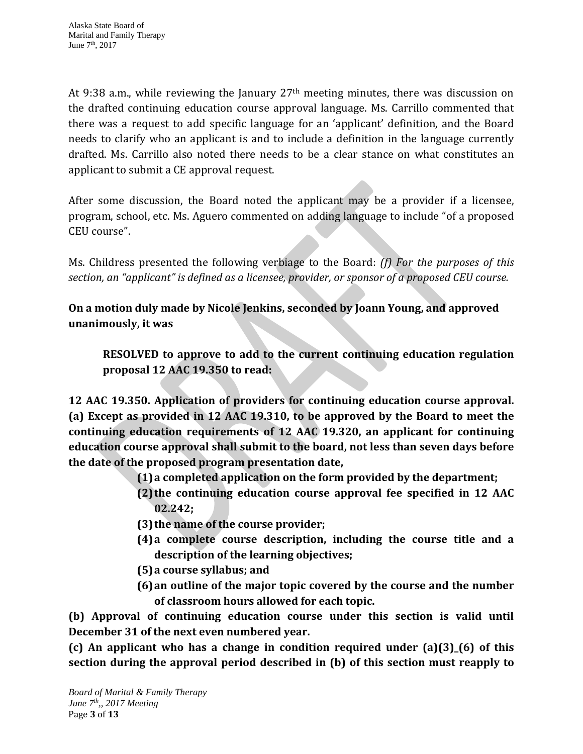At 9:38 a.m., while reviewing the January  $27<sup>th</sup>$  meeting minutes, there was discussion on the drafted continuing education course approval language. Ms. Carrillo commented that there was a request to add specific language for an 'applicant' definition, and the Board needs to clarify who an applicant is and to include a definition in the language currently drafted. Ms. Carrillo also noted there needs to be a clear stance on what constitutes an applicant to submit a CE approval request.

After some discussion, the Board noted the applicant may be a provider if a licensee, program, school, etc. Ms. Aguero commented on adding language to include "of a proposed CEU course".

Ms. Childress presented the following verbiage to the Board: *(f) For the purposes of this section, an "applicant" is defined as a licensee, provider, or sponsor of a proposed CEU course.*

**On a motion duly made by Nicole Jenkins, seconded by Joann Young, and approved unanimously, it was**

**RESOLVED to approve to add to the current continuing education regulation proposal 12 AAC 19.350 to read:** 

**12 AAC 19.350. Application of providers for continuing education course approval. (a) Except as provided in 12 AAC 19.310, to be approved by the Board to meet the continuing education requirements of 12 AAC 19.320, an applicant for continuing education course approval shall submit to the board, not less than seven days before the date of the proposed program presentation date,**

- **(1)a completed application on the form provided by the department;**
- **(2)the continuing education course approval fee specified in 12 AAC 02.242;**
- **(3)the name of the course provider;**
- **(4)a complete course description, including the course title and a description of the learning objectives;**
- **(5)a course syllabus; and**
- **(6)an outline of the major topic covered by the course and the number of classroom hours allowed for each topic.**

**(b) Approval of continuing education course under this section is valid until December 31 of the next even numbered year.**

**(c) An applicant who has a change in condition required under (a)(3)\_(6) of this section during the approval period described in (b) of this section must reapply to**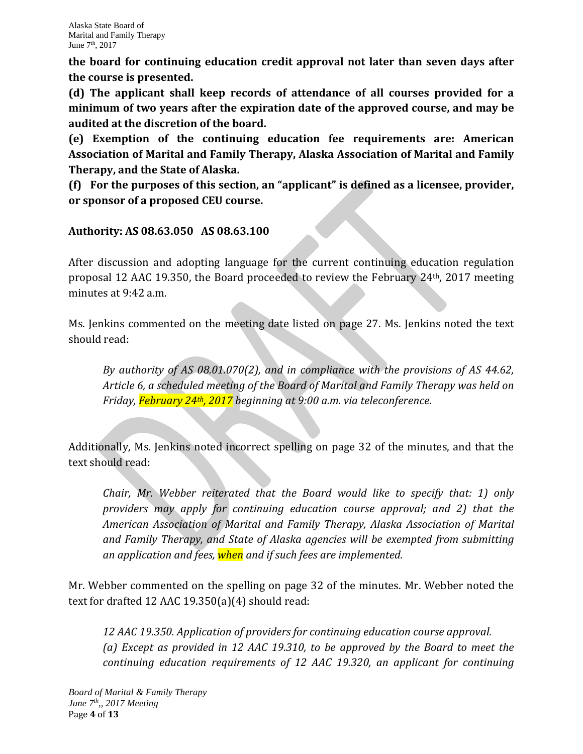**the board for continuing education credit approval not later than seven days after the course is presented.**

**(d) The applicant shall keep records of attendance of all courses provided for a minimum of two years after the expiration date of the approved course, and may be audited at the discretion of the board.**

**(e) Exemption of the continuing education fee requirements are: American Association of Marital and Family Therapy, Alaska Association of Marital and Family Therapy, and the State of Alaska.**

**(f) For the purposes of this section, an "applicant" is defined as a licensee, provider, or sponsor of a proposed CEU course.**

## **Authority: AS 08.63.050 AS 08.63.100**

After discussion and adopting language for the current continuing education regulation proposal 12 AAC 19.350, the Board proceeded to review the February 24th, 2017 meeting minutes at 9:42 a.m.

Ms. Jenkins commented on the meeting date listed on page 27. Ms. Jenkins noted the text should read:

*By authority of AS 08.01.070(2), and in compliance with the provisions of AS 44.62, Article 6, a scheduled meeting of the Board of Marital and Family Therapy was held on Friday, February 24th, 2017 beginning at 9:00 a.m. via teleconference.*

Additionally, Ms. Jenkins noted incorrect spelling on page 32 of the minutes, and that the text should read:

*Chair, Mr. Webber reiterated that the Board would like to specify that: 1) only providers may apply for continuing education course approval; and 2) that the American Association of Marital and Family Therapy, Alaska Association of Marital and Family Therapy, and State of Alaska agencies will be exempted from submitting an application and fees, when and if such fees are implemented.*

Mr. Webber commented on the spelling on page 32 of the minutes. Mr. Webber noted the text for drafted 12 AAC 19.350(a)(4) should read:

*12 AAC 19.350. Application of providers for continuing education course approval. (a) Except as provided in 12 AAC 19.310, to be approved by the Board to meet the continuing education requirements of 12 AAC 19.320, an applicant for continuing*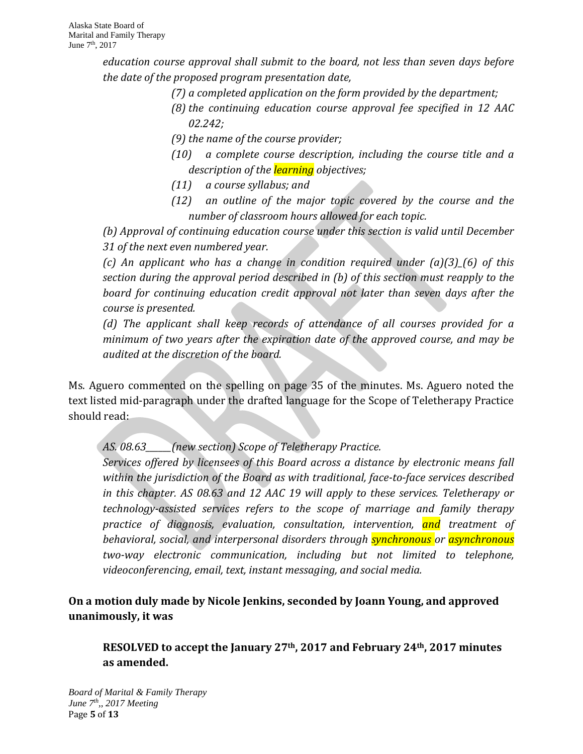*education course approval shall submit to the board, not less than seven days before the date of the proposed program presentation date,*

- *(7) a completed application on the form provided by the department;*
- *(8) the continuing education course approval fee specified in 12 AAC 02.242;*
- *(9) the name of the course provider;*
- *(10) a complete course description, including the course title and a description of the learning objectives;*
- *(11) a course syllabus; and*
- *(12) an outline of the major topic covered by the course and the number of classroom hours allowed for each topic.*

*(b) Approval of continuing education course under this section is valid until December 31 of the next even numbered year.*

*(c) An applicant who has a change in condition required under (a)(3)\_(6) of this section during the approval period described in (b) of this section must reapply to the board for continuing education credit approval not later than seven days after the course is presented.*

*(d) The applicant shall keep records of attendance of all courses provided for a minimum of two years after the expiration date of the approved course, and may be audited at the discretion of the board.*

Ms. Aguero commented on the spelling on page 35 of the minutes. Ms. Aguero noted the text listed mid-paragraph under the drafted language for the Scope of Teletherapy Practice should read:

*AS. 08.63\_\_\_\_\_\_(new section) Scope of Teletherapy Practice.*

*Services offered by licensees of this Board across a distance by electronic means fall within the jurisdiction of the Board as with traditional, face-to-face services described in this chapter. AS 08.63 and 12 AAC 19 will apply to these services. Teletherapy or technology-assisted services refers to the scope of marriage and family therapy practice of diagnosis, evaluation, consultation, intervention, and treatment of behavioral, social, and interpersonal disorders through synchronous or asynchronous two-way electronic communication, including but not limited to telephone, videoconferencing, email, text, instant messaging, and social media.* 

**On a motion duly made by Nicole Jenkins, seconded by Joann Young, and approved unanimously, it was**

**RESOLVED to accept the January 27th, 2017 and February 24th, 2017 minutes as amended.**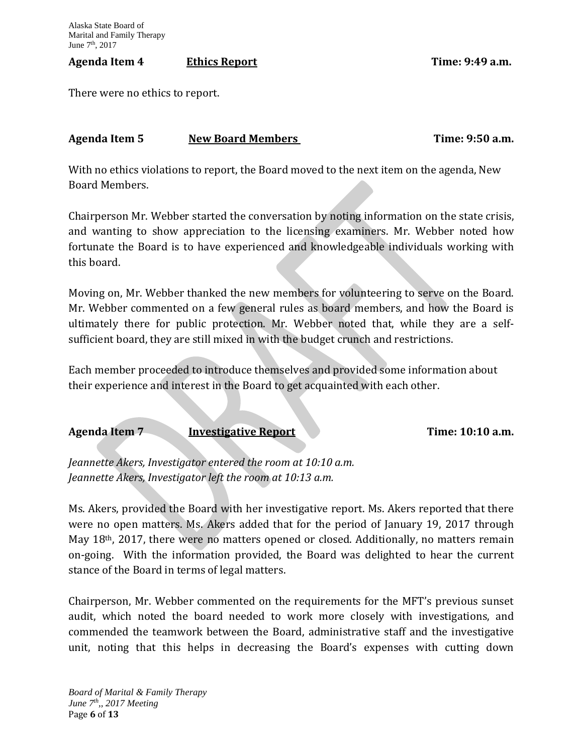#### Agenda Item 4 **Ethics Report Example 2:49 a.m.**

There were no ethics to report.

## Agenda Item 5 **New Board Members New Board Members Time: 9:50 a.m.**

With no ethics violations to report, the Board moved to the next item on the agenda, New Board Members.

Chairperson Mr. Webber started the conversation by noting information on the state crisis, and wanting to show appreciation to the licensing examiners. Mr. Webber noted how fortunate the Board is to have experienced and knowledgeable individuals working with this board.

Moving on, Mr. Webber thanked the new members for volunteering to serve on the Board. Mr. Webber commented on a few general rules as board members, and how the Board is ultimately there for public protection. Mr. Webber noted that, while they are a selfsufficient board, they are still mixed in with the budget crunch and restrictions.

Each member proceeded to introduce themselves and provided some information about their experience and interest in the Board to get acquainted with each other.

**Agenda Item 7 Investigative Report Time: 10:10 a.m.**

*Jeannette Akers, Investigator entered the room at 10:10 a.m. Jeannette Akers, Investigator left the room at 10:13 a.m.*

Ms. Akers, provided the Board with her investigative report. Ms. Akers reported that there were no open matters. Ms. Akers added that for the period of January 19, 2017 through May 18<sup>th</sup>, 2017, there were no matters opened or closed. Additionally, no matters remain on-going. With the information provided, the Board was delighted to hear the current stance of the Board in terms of legal matters.

Chairperson, Mr. Webber commented on the requirements for the MFT's previous sunset audit, which noted the board needed to work more closely with investigations, and commended the teamwork between the Board, administrative staff and the investigative unit, noting that this helps in decreasing the Board's expenses with cutting down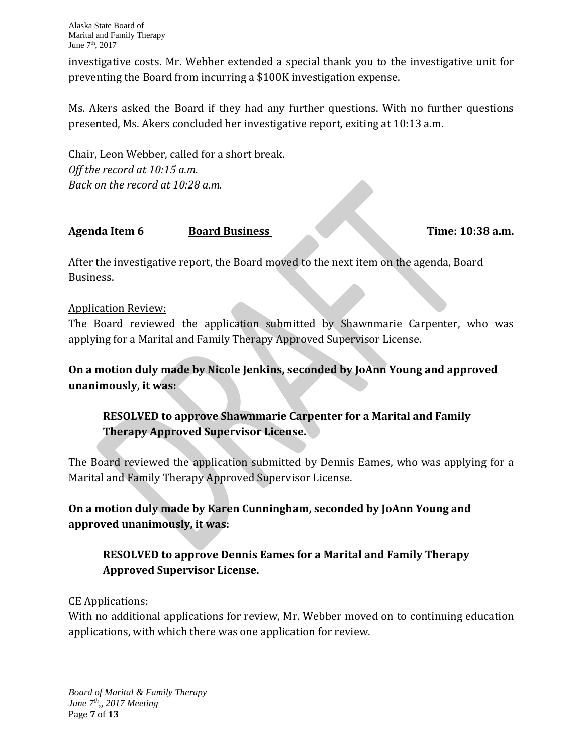investigative costs. Mr. Webber extended a special thank you to the investigative unit for preventing the Board from incurring a \$100K investigation expense.

Ms. Akers asked the Board if they had any further questions. With no further questions presented, Ms. Akers concluded her investigative report, exiting at 10:13 a.m.

Chair, Leon Webber, called for a short break. *Off the record at 10:15 a.m. Back on the record at 10:28 a.m.*

#### **Agenda Item 6 Board Business Time: 10:38 a.m.**

After the investigative report, the Board moved to the next item on the agenda, Board Business.

#### Application Review:

The Board reviewed the application submitted by Shawnmarie Carpenter, who was applying for a Marital and Family Therapy Approved Supervisor License.

**On a motion duly made by Nicole Jenkins, seconded by JoAnn Young and approved unanimously, it was:**

# **RESOLVED to approve Shawnmarie Carpenter for a Marital and Family Therapy Approved Supervisor License.**

The Board reviewed the application submitted by Dennis Eames, who was applying for a Marital and Family Therapy Approved Supervisor License.

**On a motion duly made by Karen Cunningham, seconded by JoAnn Young and approved unanimously, it was:**

## **RESOLVED to approve Dennis Eames for a Marital and Family Therapy Approved Supervisor License.**

#### CE Applications:

With no additional applications for review, Mr. Webber moved on to continuing education applications, with which there was one application for review.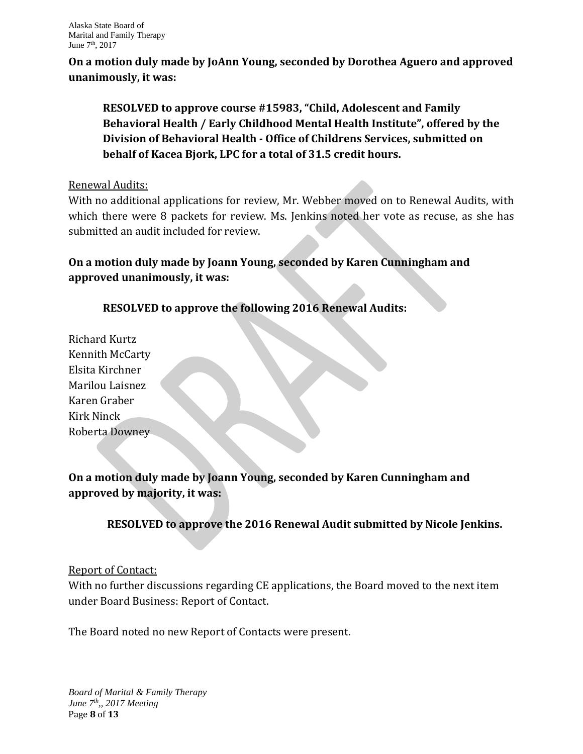**On a motion duly made by JoAnn Young, seconded by Dorothea Aguero and approved unanimously, it was:**

**RESOLVED to approve course #15983, "Child, Adolescent and Family Behavioral Health / Early Childhood Mental Health Institute", offered by the Division of Behavioral Health - Office of Childrens Services, submitted on behalf of Kacea Bjork, LPC for a total of 31.5 credit hours.** 

#### Renewal Audits:

With no additional applications for review, Mr. Webber moved on to Renewal Audits, with which there were 8 packets for review. Ms. Jenkins noted her vote as recuse, as she has submitted an audit included for review.

# **On a motion duly made by Joann Young, seconded by Karen Cunningham and approved unanimously, it was:**

# **RESOLVED to approve the following 2016 Renewal Audits:**

Richard Kurtz Kennith McCarty Elsita Kirchner Marilou Laisnez Karen Graber Kirk Ninck Roberta Downey

# **On a motion duly made by Joann Young, seconded by Karen Cunningham and approved by majority, it was:**

# **RESOLVED to approve the 2016 Renewal Audit submitted by Nicole Jenkins.**

## Report of Contact:

With no further discussions regarding CE applications, the Board moved to the next item under Board Business: Report of Contact.

The Board noted no new Report of Contacts were present.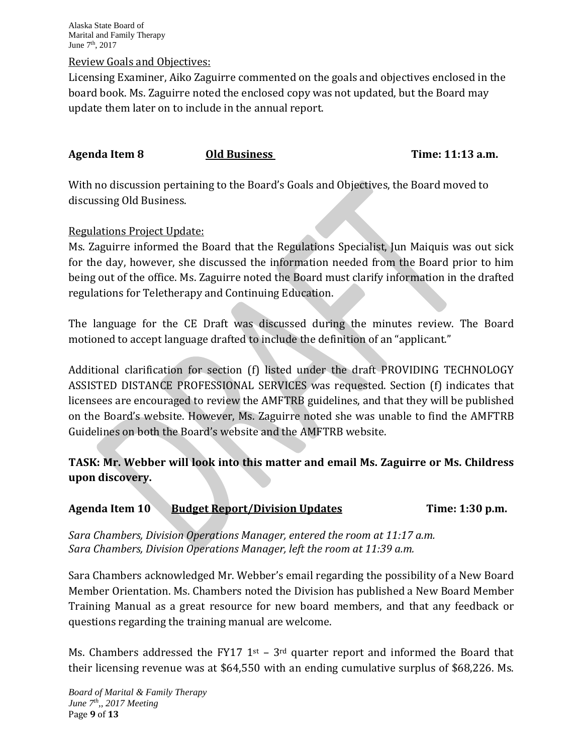Alaska State Board of Marital and Family Therapy June 7th, 2017

#### Review Goals and Objectives:

Licensing Examiner, Aiko Zaguirre commented on the goals and objectives enclosed in the board book. Ms. Zaguirre noted the enclosed copy was not updated, but the Board may update them later on to include in the annual report.

#### **Agenda Item 8 Old Business Time: 11:13 a.m.**

With no discussion pertaining to the Board's Goals and Objectives, the Board moved to discussing Old Business.

#### Regulations Project Update:

Ms. Zaguirre informed the Board that the Regulations Specialist, Jun Maiquis was out sick for the day, however, she discussed the information needed from the Board prior to him being out of the office. Ms. Zaguirre noted the Board must clarify information in the drafted regulations for Teletherapy and Continuing Education.

The language for the CE Draft was discussed during the minutes review. The Board motioned to accept language drafted to include the definition of an "applicant."

Additional clarification for section (f) listed under the draft PROVIDING TECHNOLOGY ASSISTED DISTANCE PROFESSIONAL SERVICES was requested. Section (f) indicates that licensees are encouraged to review the AMFTRB guidelines, and that they will be published on the Board's website. However, Ms. Zaguirre noted she was unable to find the AMFTRB Guidelines on both the Board's website and the AMFTRB website.

## **TASK: Mr. Webber will look into this matter and email Ms. Zaguirre or Ms. Childress upon discovery.**

#### **Agenda Item 10 Budget Report/Division Updates Time: 1:30 p.m.**

*Sara Chambers, Division Operations Manager, entered the room at 11:17 a.m. Sara Chambers, Division Operations Manager, left the room at 11:39 a.m.*

Sara Chambers acknowledged Mr. Webber's email regarding the possibility of a New Board Member Orientation. Ms. Chambers noted the Division has published a New Board Member Training Manual as a great resource for new board members, and that any feedback or questions regarding the training manual are welcome.

Ms. Chambers addressed the FY17  $1<sup>st</sup>$  –  $3<sup>rd</sup>$  quarter report and informed the Board that their licensing revenue was at \$64,550 with an ending cumulative surplus of \$68,226. Ms.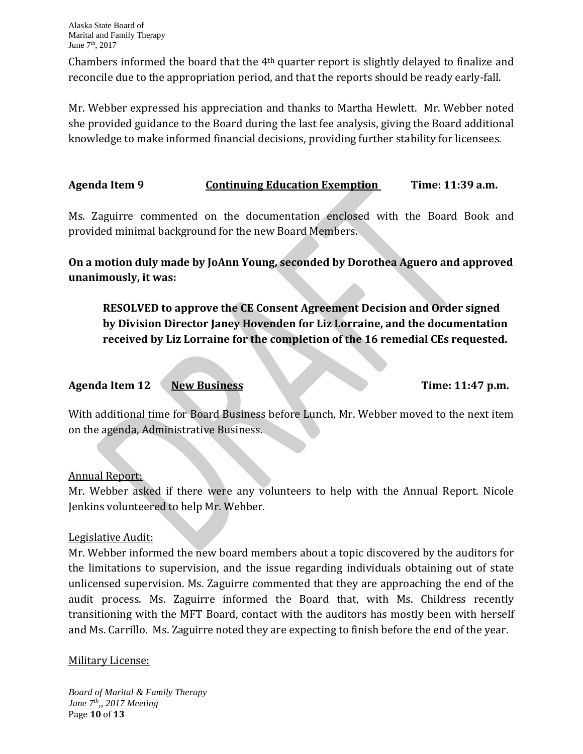Chambers informed the board that the 4th quarter report is slightly delayed to finalize and reconcile due to the appropriation period, and that the reports should be ready early-fall.

Mr. Webber expressed his appreciation and thanks to Martha Hewlett. Mr. Webber noted she provided guidance to the Board during the last fee analysis, giving the Board additional knowledge to make informed financial decisions, providing further stability for licensees.

**Agenda Item 9 Continuing Education Exemption Time: 11:39 a.m.**

Ms. Zaguirre commented on the documentation enclosed with the Board Book and provided minimal background for the new Board Members.

**On a motion duly made by JoAnn Young, seconded by Dorothea Aguero and approved unanimously, it was:**

**RESOLVED to approve the CE Consent Agreement Decision and Order signed by Division Director Janey Hovenden for Liz Lorraine, and the documentation received by Liz Lorraine for the completion of the 16 remedial CEs requested.**

# Agenda Item 12 **New Business** Time: 11:47 p.m.

With additional time for Board Business before Lunch, Mr. Webber moved to the next item on the agenda, Administrative Business.

## Annual Report:

Mr. Webber asked if there were any volunteers to help with the Annual Report. Nicole Jenkins volunteered to help Mr. Webber.

## Legislative Audit:

Mr. Webber informed the new board members about a topic discovered by the auditors for the limitations to supervision, and the issue regarding individuals obtaining out of state unlicensed supervision. Ms. Zaguirre commented that they are approaching the end of the audit process. Ms. Zaguirre informed the Board that, with Ms. Childress recently transitioning with the MFT Board, contact with the auditors has mostly been with herself and Ms. Carrillo. Ms. Zaguirre noted they are expecting to finish before the end of the year.

## Military License:

*Board of Marital & Family Therapy June 7th,, 2017 Meeting* Page **10** of **13**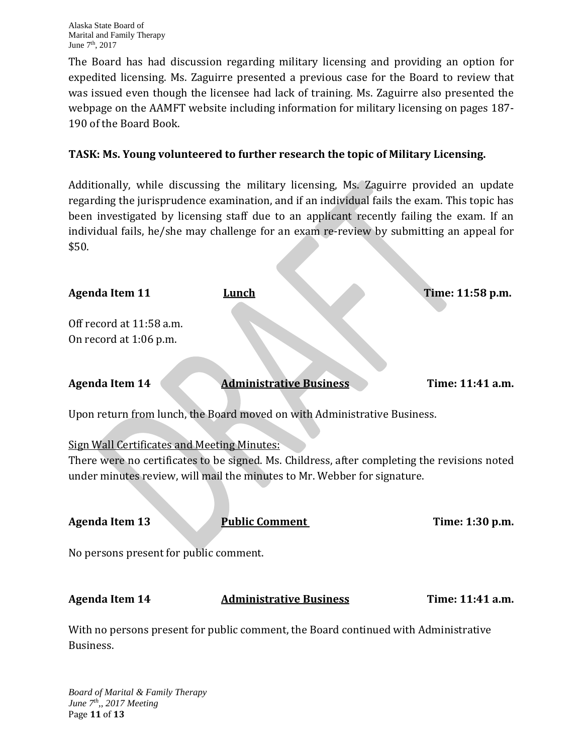The Board has had discussion regarding military licensing and providing an option for expedited licensing. Ms. Zaguirre presented a previous case for the Board to review that was issued even though the licensee had lack of training. Ms. Zaguirre also presented the webpage on the AAMFT website including information for military licensing on pages 187- 190 of the Board Book.

## **TASK: Ms. Young volunteered to further research the topic of Military Licensing.**

Additionally, while discussing the military licensing, Ms. Zaguirre provided an update regarding the jurisprudence examination, and if an individual fails the exam. This topic has been investigated by licensing staff due to an applicant recently failing the exam. If an individual fails, he/she may challenge for an exam re-review by submitting an appeal for \$50.

| <b>Agenda Item 11</b>                                                       | Lunch                                                                                                                                                                                             | Time: 11:58 p.m. |
|-----------------------------------------------------------------------------|---------------------------------------------------------------------------------------------------------------------------------------------------------------------------------------------------|------------------|
| Off record at 11:58 a.m.<br>On record at 1:06 p.m.                          |                                                                                                                                                                                                   |                  |
| <b>Agenda Item 14</b>                                                       | <b>Administrative Business</b>                                                                                                                                                                    | Time: 11:41 a.m. |
| Upon return from lunch, the Board moved on with Administrative Business.    |                                                                                                                                                                                                   |                  |
| <b>Sign Wall Certificates and Meeting Minutes:</b><br><b>Agenda Item 13</b> | There were no certificates to be signed. Ms. Childress, after completing the revisions noted<br>under minutes review, will mail the minutes to Mr. Webber for signature.<br><b>Public Comment</b> | Time: 1:30 p.m.  |
| No persons present for public comment.                                      |                                                                                                                                                                                                   |                  |
| <b>Agenda Item 14</b>                                                       | <b>Administrative Business</b>                                                                                                                                                                    | Time: 11:41 a.m. |
| Business.                                                                   | With no persons present for public comment, the Board continued with Administrative                                                                                                               |                  |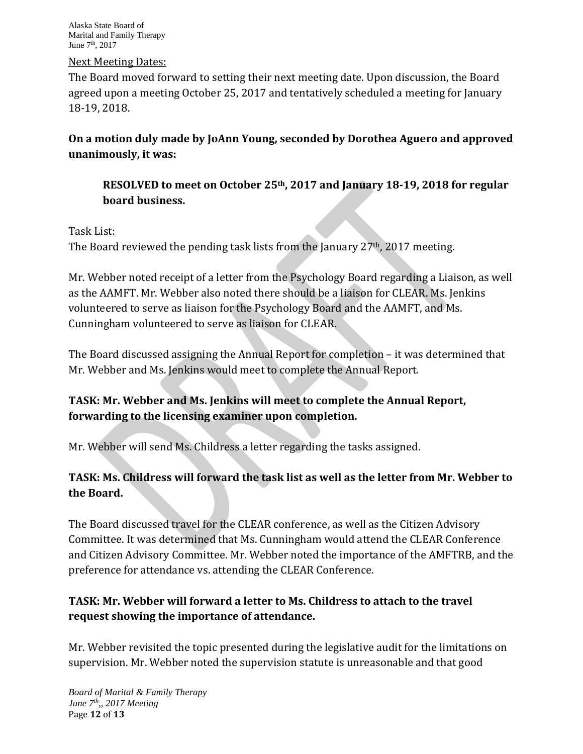Alaska State Board of Marital and Family Therapy June 7th, 2017

#### Next Meeting Dates:

The Board moved forward to setting their next meeting date. Upon discussion, the Board agreed upon a meeting October 25, 2017 and tentatively scheduled a meeting for January 18-19, 2018.

**On a motion duly made by JoAnn Young, seconded by Dorothea Aguero and approved unanimously, it was:**

**RESOLVED to meet on October 25th, 2017 and January 18-19, 2018 for regular board business.** 

#### Task List:

The Board reviewed the pending task lists from the January 27th, 2017 meeting.

Mr. Webber noted receipt of a letter from the Psychology Board regarding a Liaison, as well as the AAMFT. Mr. Webber also noted there should be a liaison for CLEAR. Ms. Jenkins volunteered to serve as liaison for the Psychology Board and the AAMFT, and Ms. Cunningham volunteered to serve as liaison for CLEAR.

The Board discussed assigning the Annual Report for completion – it was determined that Mr. Webber and Ms. Jenkins would meet to complete the Annual Report.

## **TASK: Mr. Webber and Ms. Jenkins will meet to complete the Annual Report, forwarding to the licensing examiner upon completion.**

Mr. Webber will send Ms. Childress a letter regarding the tasks assigned.

## **TASK: Ms. Childress will forward the task list as well as the letter from Mr. Webber to the Board.**

The Board discussed travel for the CLEAR conference, as well as the Citizen Advisory Committee. It was determined that Ms. Cunningham would attend the CLEAR Conference and Citizen Advisory Committee. Mr. Webber noted the importance of the AMFTRB, and the preference for attendance vs. attending the CLEAR Conference.

# **TASK: Mr. Webber will forward a letter to Ms. Childress to attach to the travel request showing the importance of attendance.**

Mr. Webber revisited the topic presented during the legislative audit for the limitations on supervision. Mr. Webber noted the supervision statute is unreasonable and that good